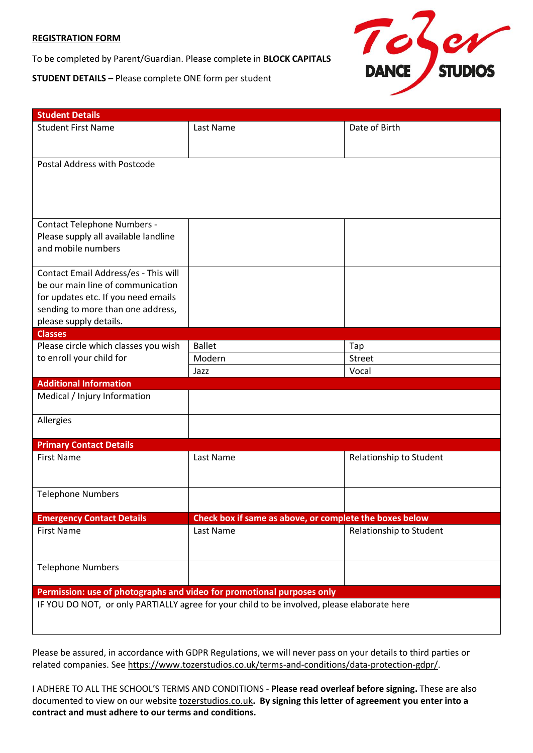#### **REGISTRATION FORM**

To be completed by Parent/Guardian. Please complete in **BLOCK CAPITALS**

**STUDENT DETAILS** – Please complete ONE form per student



| <b>Student Details</b>                                                                      |                                                         |                         |
|---------------------------------------------------------------------------------------------|---------------------------------------------------------|-------------------------|
| <b>Student First Name</b>                                                                   | Last Name                                               | Date of Birth           |
|                                                                                             |                                                         |                         |
| Postal Address with Postcode                                                                |                                                         |                         |
|                                                                                             |                                                         |                         |
| <b>Contact Telephone Numbers -</b>                                                          |                                                         |                         |
| Please supply all available landline                                                        |                                                         |                         |
| and mobile numbers                                                                          |                                                         |                         |
| Contact Email Address/es - This will                                                        |                                                         |                         |
| be our main line of communication                                                           |                                                         |                         |
| for updates etc. If you need emails                                                         |                                                         |                         |
| sending to more than one address,<br>please supply details.                                 |                                                         |                         |
| <b>Classes</b>                                                                              |                                                         |                         |
| Please circle which classes you wish<br>to enroll your child for                            | <b>Ballet</b>                                           | Tap                     |
|                                                                                             | Modern                                                  | <b>Street</b>           |
|                                                                                             | Jazz                                                    | Vocal                   |
| <b>Additional Information</b>                                                               |                                                         |                         |
| Medical / Injury Information                                                                |                                                         |                         |
| Allergies                                                                                   |                                                         |                         |
| <b>Primary Contact Details</b>                                                              |                                                         |                         |
| <b>First Name</b>                                                                           | Last Name                                               | Relationship to Student |
|                                                                                             |                                                         |                         |
| <b>Telephone Numbers</b>                                                                    |                                                         |                         |
| <b>Emergency Contact Details</b>                                                            | Check box if same as above, or complete the boxes below |                         |
| <b>First Name</b>                                                                           | Last Name                                               | Relationship to Student |
|                                                                                             |                                                         |                         |
| <b>Telephone Numbers</b>                                                                    |                                                         |                         |
| Permission: use of photographs and video for promotional purposes only                      |                                                         |                         |
| IF YOU DO NOT, or only PARTIALLY agree for your child to be involved, please elaborate here |                                                         |                         |
|                                                                                             |                                                         |                         |

Please be assured, in accordance with GDPR Regulations, we will never pass on your details to third parties or related companies. See [https://www.tozerstudios.co.uk/terms-and-conditions/data-protection-gdpr/.](https://www.tozerstudios.co.uk/terms-and-conditions/data-protection-gdpr/)

I ADHERE TO ALL THE SCHOOL'S TERMS AND CONDITIONS - **Please read overleaf before signing.** These are also documented to view on our website [tozerstudios.co.uk](http://tozerstudios.co.uk/)**. By signing this letter of agreement you enter into a contract and must adhere to our terms and conditions.**